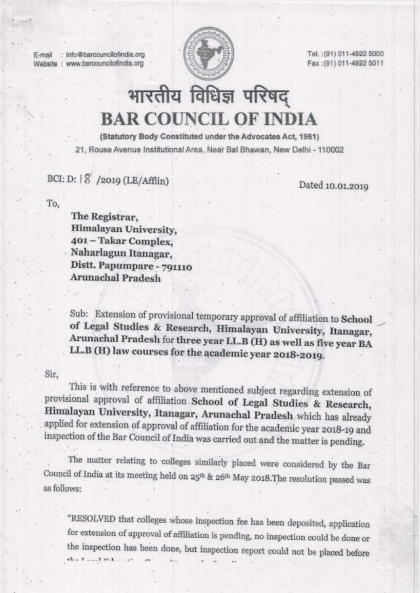: info@barcouncilofindia.org E-mail Website : www.barcouncilofindia.org



Tel.: (91) 011-4922 5000 Fax: (91) 011-4922 5011

## भारतीय विधिज्ञ परिषद **BAR COUNCIL OF INDIA**

(Statutory Body Constituted under the Advocates Act, 1961) 21, Rouse Avenue Institutional Area, Near Bal Bhawan, New Delhi - 110002

## BCI: D: 18 /2019 (LE/Afflin)

Dated 10.01.2019

To,

The Registrar. Himalayan University, 401 - Takar Complex, Naharlagun Itanagar, Distt. Papumpare - 791110 **Arunachal Pradesh** 

Sub: Extension of provisional temporary approval of affiliation to School of Legal Studies & Research, Himalayan University, Itanagar, Arunachal Pradesh for three year LL.B (H) as well as five year BA LL.B (H) law courses for the academic year 2018-2019.

Sir,

This is with reference to above mentioned subject regarding extension of provisional approval of affiliation School of Legal Studies & Research, Himalayan University, Itanagar, Arunachal Pradesh which has already applied for extension of approval of affiliation for the academic year 2018-19 and inspection of the Bar Council of India was carried out and the matter is pending.

The matter relating to colleges similarly placed were considered by the Bar Council of India at its meeting held on 25<sup>th</sup> & 26<sup>th</sup> May 2018. The resolution passed was as follows:

"RESOLVED that colleges whose inspection fee has been deposited, application for extension of approval of affiliation is pending, no inspection could be done or the inspection has been done, but inspection report could not be placed before  $45 - 7 - 1 + 1$